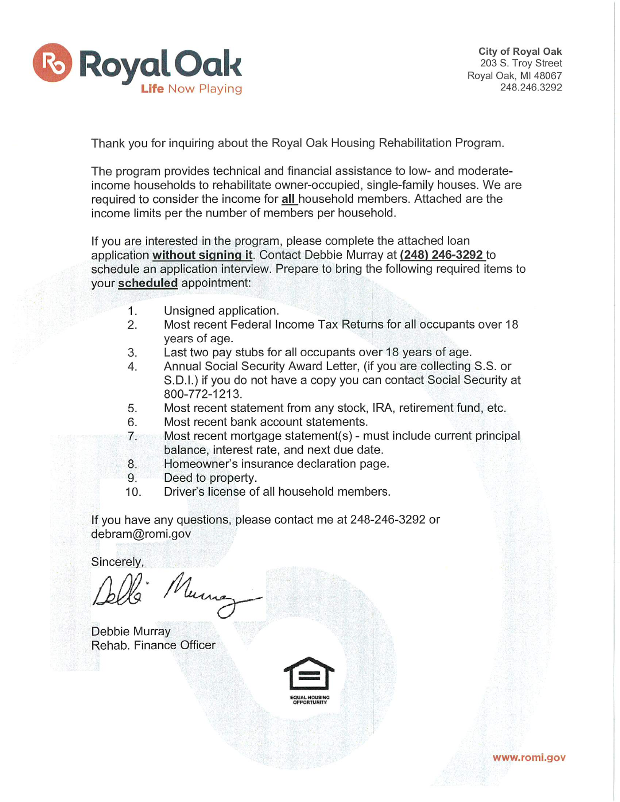

City of Royal Oak 203 S. Troy Street Royal Oak, MI 48067 248.246.3292

Thank you for inquiring about the Royal Oak Housing Rehabilitation Program.

The program provides technical and financial assistance to low- and moderateincome households to rehabilitate owner-occupied, single-family houses. We are required to consider the income for all household members. Attached are the income limits per the number of members per household.

If you are interested in the program, please complete the attached loan application without signing it. Contact Debbie Murray at (248) 246-3292 to schedule an application interview. Prepare to bring the following required items to your scheduled appointment:

- $1<sup>1</sup>$ Unsigned application.
- Most recent Federal Income Tax Returns for all occupants over 18 2. years of age.
- Last two pay stubs for all occupants over 18 years of age. 3.
- Annual Social Security Award Letter, (if you are collecting S.S. or 4. S.D.I.) if you do not have a copy you can contact Social Security at 800-772-1213.
- Most recent statement from any stock, IRA, retirement fund, etc. 5.
- 6. Most recent bank account statements.
- Most recent mortgage statement(s) must include current principal  $7.$ balance, interest rate, and next due date.
- Homeowner's insurance declaration page. 8.
- Deed to property. 9.
- $10.$ Driver's license of all household members.

If you have any questions, please contact me at 248-246-3292 or debram@romi.gov

Sincerely,

Murra

Debbie Murray Rehab. Finance Officer



www.romi.gov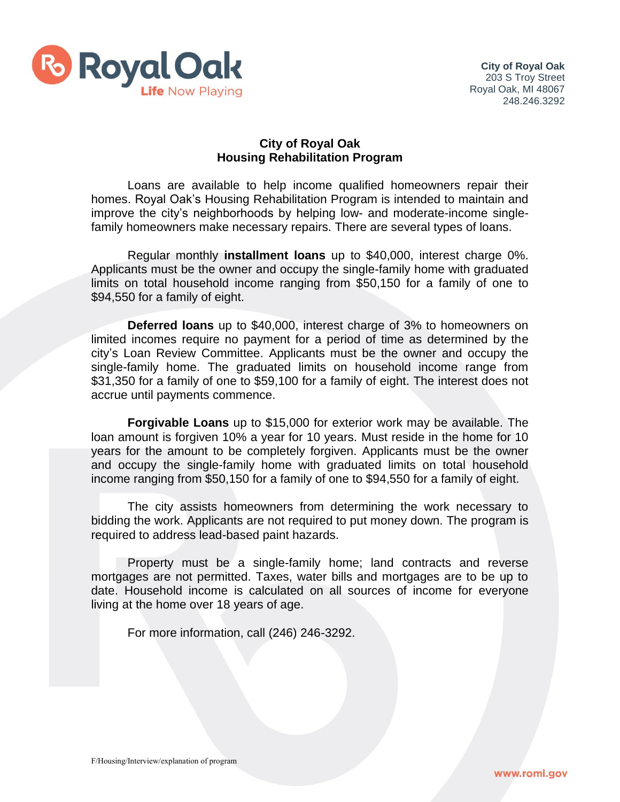

## **City of Royal Oak Housing Rehabilitation Program**

Loans are available to help income qualified homeowners repair their homes. Royal Oak's Housing Rehabilitation Program is intended to maintain and improve the city's neighborhoods by helping low- and moderate-income singlefamily homeowners make necessary repairs. There are several types of loans.

Regular monthly **installment loans** up to \$40,000, interest charge 0%. Applicants must be the owner and occupy the single-family home with graduated limits on total household income ranging from \$50,150 for a family of one to \$94,550 for a family of eight.

**Deferred loans** up to \$40,000, interest charge of 3% to homeowners on limited incomes require no payment for a period of time as determined by the city's Loan Review Committee. Applicants must be the owner and occupy the single-family home. The graduated limits on household income range from \$31,350 for a family of one to \$59,100 for a family of eight. The interest does not accrue until payments commence.

**Forgivable Loans** up to \$15,000 for exterior work may be available. The loan amount is forgiven 10% a year for 10 years. Must reside in the home for 10 years for the amount to be completely forgiven. Applicants must be the owner and occupy the single-family home with graduated limits on total household income ranging from \$50,150 for a family of one to \$94,550 for a family of eight.

The city assists homeowners from determining the work necessary to bidding the work. Applicants are not required to put money down. The program is required to address lead-based paint hazards.

Property must be a single-family home; land contracts and reverse mortgages are not permitted. Taxes, water bills and mortgages are to be up to date. Household income is calculated on all sources of income for everyone living at the home over 18 years of age.

For more information, call (246) 246-3292.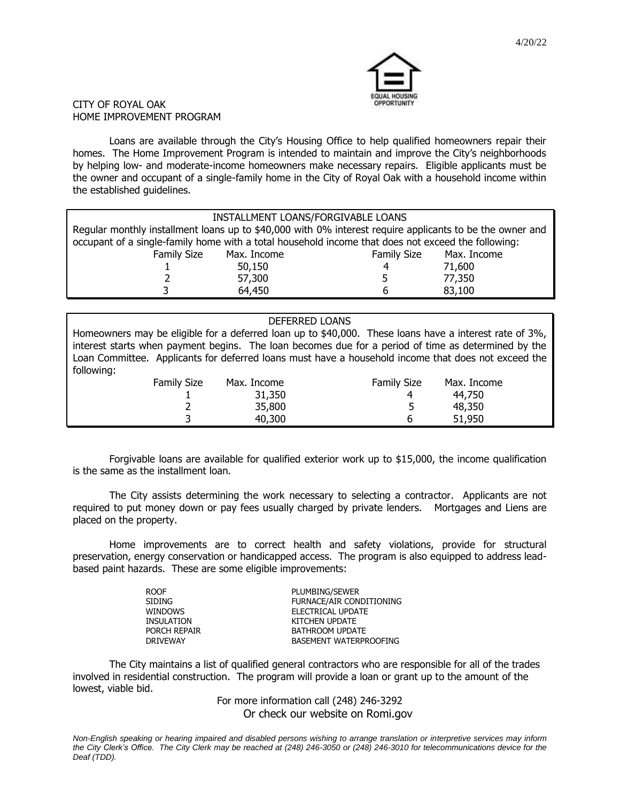

#### CITY OF ROYAL OAK HOME IMPROVEMENT PROGRAM

Loans are available through the City's Housing Office to help qualified homeowners repair their homes. The Home Improvement Program is intended to maintain and improve the City's neighborhoods by helping low- and moderate-income homeowners make necessary repairs. Eligible applicants must be the owner and occupant of a single-family home in the City of Royal Oak with a household income within the established guidelines.

| INSTALLMENT LOANS/FORGIVABLE LOANS                                                                       |             |                    |             |  |  |  |  |
|----------------------------------------------------------------------------------------------------------|-------------|--------------------|-------------|--|--|--|--|
| Regular monthly installment loans up to \$40,000 with 0% interest require applicants to be the owner and |             |                    |             |  |  |  |  |
| occupant of a single-family home with a total household income that does not exceed the following:       |             |                    |             |  |  |  |  |
| <b>Family Size</b>                                                                                       | Max. Income | <b>Family Size</b> | Max. Income |  |  |  |  |
|                                                                                                          | 50,150      | 4                  | 71,600      |  |  |  |  |
|                                                                                                          | 57,300      |                    | 77,350      |  |  |  |  |
|                                                                                                          | 64,450      |                    | 83,100      |  |  |  |  |

### DEFERRED LOANS

Homeowners may be eligible for a deferred loan up to \$40,000. These loans have a interest rate of 3%, interest starts when payment begins. The loan becomes due for a period of time as determined by the Loan Committee. Applicants for deferred loans must have a household income that does not exceed the following:

| <b>Family Size</b> | Max. Income | <b>Family Size</b> | Max. Income |  |
|--------------------|-------------|--------------------|-------------|--|
|                    | 31,350      | ⊿                  | 44,750      |  |
|                    | 35,800      |                    | 48,350      |  |
|                    | 40,300      |                    | 51,950      |  |

Forgivable loans are available for qualified exterior work up to \$15,000, the income qualification is the same as the installment loan.

The City assists determining the work necessary to selecting a contractor. Applicants are not required to put money down or pay fees usually charged by private lenders. Mortgages and Liens are placed on the property.

Home improvements are to correct health and safety violations, provide for structural preservation, energy conservation or handicapped access. The program is also equipped to address leadbased paint hazards. These are some eligible improvements:

| <b>ROOF</b>       | PLUMBING/SEWER           |
|-------------------|--------------------------|
| <b>SIDING</b>     | FURNACE/AIR CONDITIONING |
| <b>WINDOWS</b>    | ELECTRICAL UPDATE        |
| <b>INSULATION</b> | KITCHEN UPDATE           |
| PORCH REPAIR      | BATHROOM UPDATE          |
| <b>DRIVEWAY</b>   | BASEMENT WATERPROOFING   |
|                   |                          |

The City maintains a list of qualified general contractors who are responsible for all of the trades involved in residential construction. The program will provide a loan or grant up to the amount of the lowest, viable bid.

> For more information call (248) 246-3292 Or check our website on Romi.gov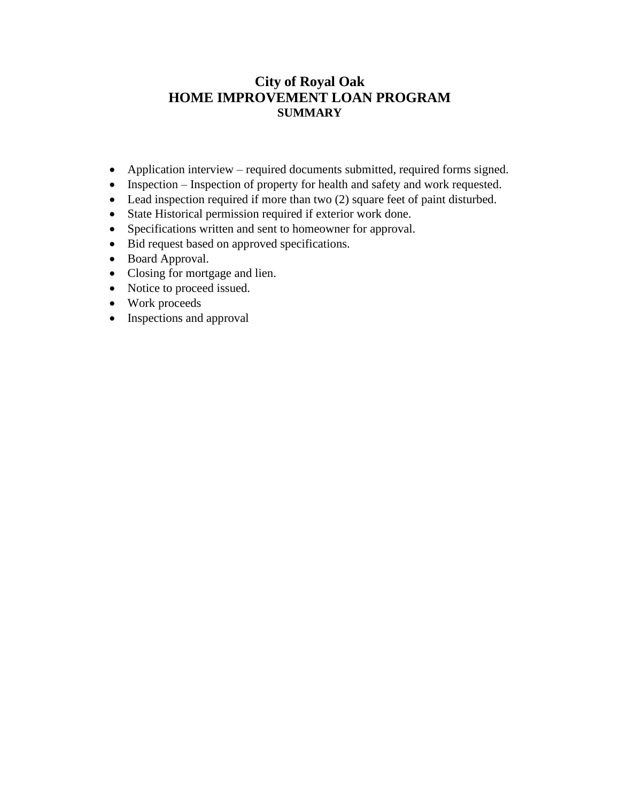# **City of Royal Oak HOME IMPROVEMENT LOAN PROGRAM SUMMARY**

- Application interview required documents submitted, required forms signed.
- Inspection Inspection of property for health and safety and work requested.
- Lead inspection required if more than two (2) square feet of paint disturbed.
- State Historical permission required if exterior work done.
- Specifications written and sent to homeowner for approval.
- Bid request based on approved specifications.
- Board Approval.
- Closing for mortgage and lien.
- Notice to proceed issued.
- Work proceeds
- Inspections and approval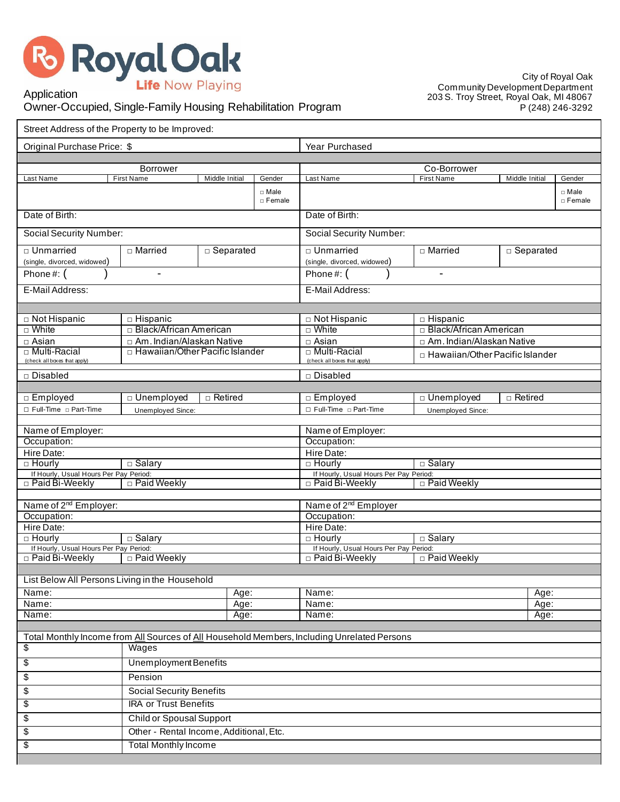

City of Royal Oak Community Development Department 203 S. Troy Street, Royal Oak, MI 48067 P (248) 246-3292

# Application Owner-Occupied, Single-Family Housing Rehabilitation Program

| Street Address of the Property to be Improved:          |                                                                          |                |                    |                                                                                             |                                        |                |                         |  |
|---------------------------------------------------------|--------------------------------------------------------------------------|----------------|--------------------|---------------------------------------------------------------------------------------------|----------------------------------------|----------------|-------------------------|--|
| Original Purchase Price: \$                             |                                                                          |                | Year Purchased     |                                                                                             |                                        |                |                         |  |
| Borrower                                                |                                                                          |                | Co-Borrower        |                                                                                             |                                        |                |                         |  |
| Last Name                                               | <b>First Name</b>                                                        | Middle Initial | Gender             | Last Name                                                                                   | <b>First Name</b>                      | Middle Initial | Gender                  |  |
|                                                         |                                                                          |                | □ Male<br>□ Female |                                                                                             |                                        |                | □ Male<br>$\Box$ Female |  |
| Date of Birth:                                          |                                                                          |                |                    | Date of Birth:                                                                              |                                        |                |                         |  |
| Social Security Number:                                 |                                                                          |                |                    | Social Security Number:                                                                     |                                        |                |                         |  |
| □ Unmarried<br>(single, divorced, widowed)              | □ Married                                                                | □ Separated    |                    | □ Unmarried<br>□ Married<br>□ Separated<br>(single, divorced, widowed)                      |                                        |                |                         |  |
| Phone #: $($                                            |                                                                          |                |                    | Phone#: (<br>$\blacksquare$                                                                 |                                        |                |                         |  |
| E-Mail Address:                                         |                                                                          |                |                    | E-Mail Address:                                                                             |                                        |                |                         |  |
|                                                         |                                                                          |                |                    |                                                                                             |                                        |                |                         |  |
| □ Not Hispanic                                          | □ Hispanic                                                               |                |                    | □ Not Hispanic                                                                              | $\Box$ Hispanic                        |                |                         |  |
| □ White                                                 | □ Black/African American                                                 |                |                    | $\Box$ White                                                                                | □ Black/African American               |                |                         |  |
| $\Box$ Asian                                            | $\Box$ Am. Indian/Alaskan Native                                         |                |                    | $\Box$ Asian                                                                                | □ Am. Indian/Alaskan Native            |                |                         |  |
| □ Multi-Racial                                          | □ Hawaiian/Other Pacific Islander                                        |                |                    | □ Multi-Racial                                                                              | $\Box$ Hawaiian/Other Pacific Islander |                |                         |  |
| (check all boxes that apply)<br>□ Disabled              |                                                                          |                |                    | (check all boxes that apply)<br>□ Disabled                                                  |                                        |                |                         |  |
|                                                         |                                                                          |                |                    |                                                                                             |                                        |                |                         |  |
| □ Employed                                              | □ Unemployed                                                             | $\Box$ Retired |                    | □ Employed                                                                                  | □ Unemployed                           | $\Box$ Retired |                         |  |
| □ Full-Time □ Part-Time                                 | □ Full-Time □ Part-Time<br>Unemployed Since:<br><b>Unemployed Since:</b> |                |                    |                                                                                             |                                        |                |                         |  |
| Name of Employer:                                       |                                                                          |                |                    | Name of Employer:                                                                           |                                        |                |                         |  |
| Occupation:                                             |                                                                          |                |                    | Occupation:                                                                                 |                                        |                |                         |  |
| Hire Date:                                              |                                                                          |                |                    | Hire Date:                                                                                  |                                        |                |                         |  |
| $\Box$ Hourly                                           | $\Box$ Salary                                                            |                |                    | $\Box$ Hourly<br>□ Salary                                                                   |                                        |                |                         |  |
| If Hourly, Usual Hours Per Pay Period:                  |                                                                          |                |                    | If Hourly, Usual Hours Per Pay Period:                                                      |                                        |                |                         |  |
| □ Paid Bi-Weekly                                        | □ Paid Weekly                                                            |                |                    | □ Paid Bi-Weekly                                                                            | □ Paid Weekly                          |                |                         |  |
|                                                         |                                                                          |                |                    |                                                                                             |                                        |                |                         |  |
| Name of 2 <sup>nd</sup> Employer:                       |                                                                          |                |                    | Name of 2 <sup>nd</sup> Employer                                                            |                                        |                |                         |  |
| Occupation:                                             |                                                                          |                |                    | Occupation:                                                                                 |                                        |                |                         |  |
| Hire Date:                                              |                                                                          |                |                    | Hire Date:                                                                                  |                                        |                |                         |  |
| $\Box$ Hourly<br>If Hourly, Usual Hours Per Pay Period: | □ Salary                                                                 |                |                    | $\Box$ Hourly<br>$\overline{\Box}$ Salary                                                   |                                        |                |                         |  |
| □ Paid Bi-Weekly                                        | □ Paid Weekly                                                            |                |                    | If Hourly, Usual Hours Per Pay Period:<br>□ Paid Bi-Weekly<br>□ Paid Weekly                 |                                        |                |                         |  |
|                                                         |                                                                          |                |                    |                                                                                             |                                        |                |                         |  |
| List Below All Persons Living in the Household          |                                                                          |                |                    |                                                                                             |                                        |                |                         |  |
| Name:                                                   |                                                                          | Age:           |                    | Name:                                                                                       |                                        | Age:           |                         |  |
| Name:<br>Age:                                           |                                                                          | Name:<br>Age:  |                    |                                                                                             |                                        |                |                         |  |
| Name:<br>Name:<br>Age:<br>Age:                          |                                                                          |                |                    |                                                                                             |                                        |                |                         |  |
|                                                         |                                                                          |                |                    | Total Monthly Income from All Sources of All Household Members, Including Unrelated Persons |                                        |                |                         |  |
| \$<br>Wages                                             |                                                                          |                |                    |                                                                                             |                                        |                |                         |  |
| $\sqrt[6]{\frac{2}{5}}$                                 | <b>Unemployment Benefits</b>                                             |                |                    |                                                                                             |                                        |                |                         |  |
| \$                                                      | Pension                                                                  |                |                    |                                                                                             |                                        |                |                         |  |
| \$                                                      | <b>Social Security Benefits</b>                                          |                |                    |                                                                                             |                                        |                |                         |  |
| \$                                                      | <b>IRA or Trust Benefits</b>                                             |                |                    |                                                                                             |                                        |                |                         |  |
| \$                                                      | <b>Child or Spousal Support</b>                                          |                |                    |                                                                                             |                                        |                |                         |  |
| \$                                                      | Other - Rental Income, Additional, Etc.                                  |                |                    |                                                                                             |                                        |                |                         |  |
| \$                                                      | <b>Total Monthly Income</b>                                              |                |                    |                                                                                             |                                        |                |                         |  |
|                                                         |                                                                          |                |                    |                                                                                             |                                        |                |                         |  |